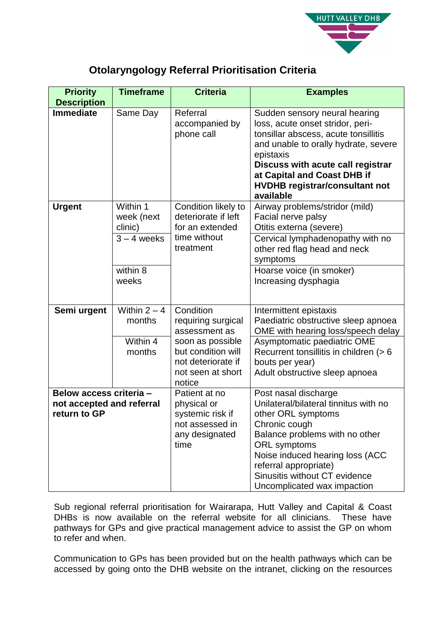

## **Otolaryngology Referral Prioritisation Criteria**

| <b>Priority</b>                                                      | <b>Timeframe</b>                                                        | <b>Criteria</b>                                                                                                                                 | <b>Examples</b>                                                                                                                                                                                                                                                                           |
|----------------------------------------------------------------------|-------------------------------------------------------------------------|-------------------------------------------------------------------------------------------------------------------------------------------------|-------------------------------------------------------------------------------------------------------------------------------------------------------------------------------------------------------------------------------------------------------------------------------------------|
| <b>Description</b><br><b>Immediate</b>                               | Same Day                                                                | Referral<br>accompanied by<br>phone call                                                                                                        | Sudden sensory neural hearing<br>loss, acute onset stridor, peri-<br>tonsillar abscess, acute tonsillitis<br>and unable to orally hydrate, severe<br>epistaxis<br>Discuss with acute call registrar<br>at Capital and Coast DHB if<br><b>HVDHB registrar/consultant not</b><br>available  |
| <b>Urgent</b>                                                        | Within 1<br>week (next<br>clinic)<br>$3 - 4$ weeks<br>within 8<br>weeks | Condition likely to<br>deteriorate if left<br>for an extended<br>time without<br>treatment                                                      | Airway problems/stridor (mild)<br>Facial nerve palsy<br>Otitis externa (severe)<br>Cervical lymphadenopathy with no<br>other red flag head and neck<br>symptoms<br>Hoarse voice (in smoker)<br>Increasing dysphagia                                                                       |
| Semi urgent                                                          | Within $2 - 4$<br>months<br>Within 4<br>months                          | Condition<br>requiring surgical<br>assessment as<br>soon as possible<br>but condition will<br>not deteriorate if<br>not seen at short<br>notice | Intermittent epistaxis<br>Paediatric obstructive sleep apnoea<br>OME with hearing loss/speech delay<br>Asymptomatic paediatric OME<br>Recurrent tonsillitis in children (> 6<br>bouts per year)<br>Adult obstructive sleep apnoea                                                         |
| Below access criteria -<br>not accepted and referral<br>return to GP |                                                                         | Patient at no<br>physical or<br>systemic risk if<br>not assessed in<br>any designated<br>time                                                   | Post nasal discharge<br>Unilateral/bilateral tinnitus with no<br>other ORL symptoms<br>Chronic cough<br>Balance problems with no other<br><b>ORL</b> symptoms<br>Noise induced hearing loss (ACC<br>referral appropriate)<br>Sinusitis without CT evidence<br>Uncomplicated wax impaction |

Sub regional referral prioritisation for Wairarapa, Hutt Valley and Capital & Coast DHBs is now available on the referral website for all clinicians. These have pathways for GPs and give practical management advice to assist the GP on whom to refer and when.

Communication to GPs has been provided but on the health pathways which can be accessed by going onto the DHB website on the intranet, clicking on the resources